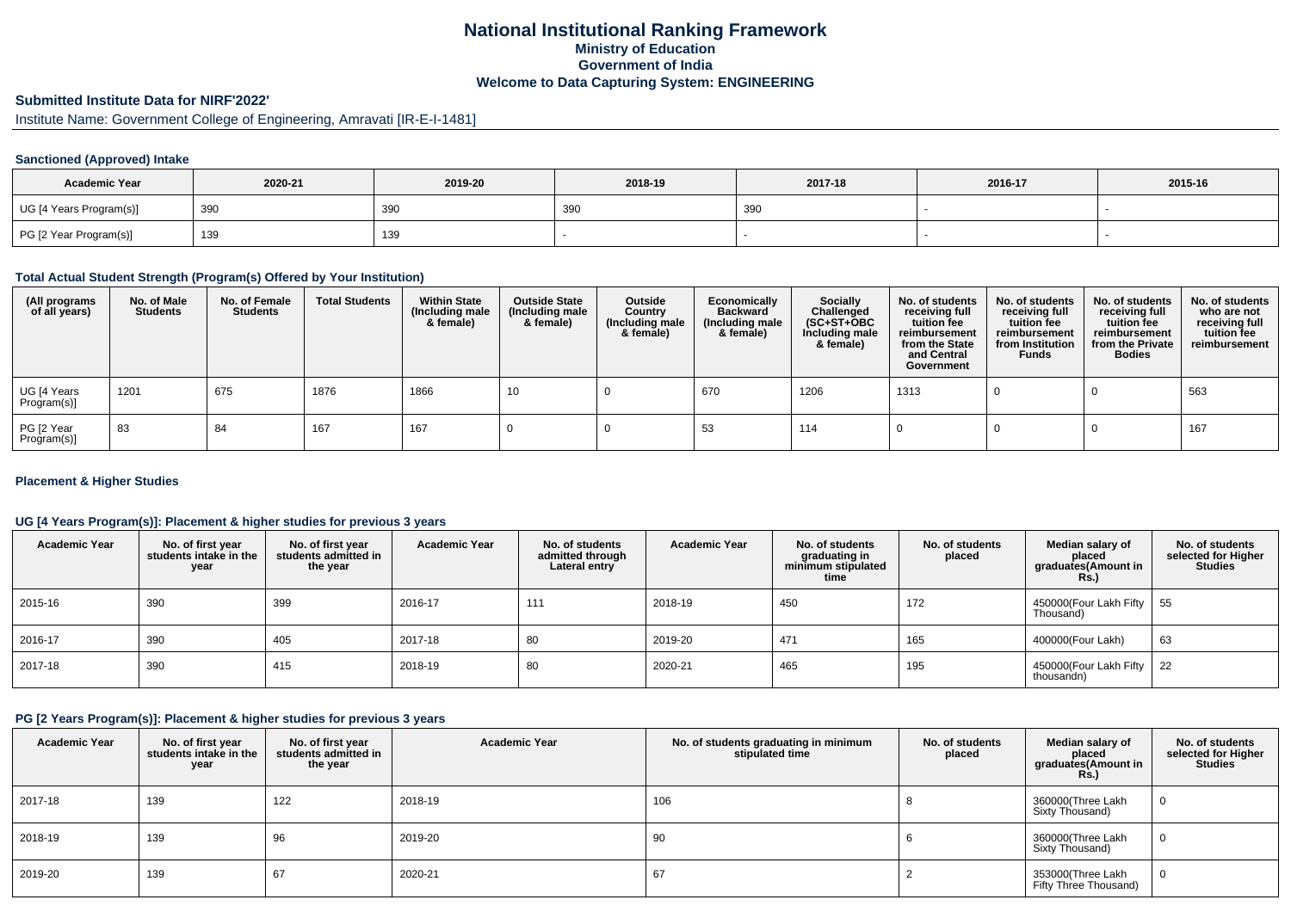## **National Institutional Ranking FrameworkMinistry of Education Government of IndiaWelcome to Data Capturing System: ENGINEERING**

# **Submitted Institute Data for NIRF'2022'**

Institute Name: Government College of Engineering, Amravati [IR-E-I-1481]

#### **Sanctioned (Approved) Intake**

| <b>Academic Year</b>    | 2020-21 | 2019-20 | 2018-19 | 2017-18 | 2016-17 | 2015-16 |
|-------------------------|---------|---------|---------|---------|---------|---------|
| UG [4 Years Program(s)] | 390     | 390     | 39      | 390     |         |         |
| PG [2 Year Program(s)]  | 139     | 139     |         |         |         |         |

#### **Total Actual Student Strength (Program(s) Offered by Your Institution)**

| (All programs<br>of all years) | No. of Male<br><b>Students</b> | No. of Female<br><b>Students</b> | <b>Total Students</b> | <b>Within State</b><br>(Including male<br>& female) | <b>Outside State</b><br>(Including male<br>& female) | Outside<br>Country<br>(Including male<br>& female) | Economically<br><b>Backward</b><br>(Including male<br>& female) | <b>Socially</b><br>Challenged<br>$(SC+ST+OBC)$<br>Including male<br>& female) | No. of students<br>receiving full<br>tuition fee<br>reimbursement<br>from the State<br>and Central<br>Government | No. of students<br>receiving full<br>tuition fee<br>reimbursement<br>from Institution<br><b>Funds</b> | No. of students<br>receiving full<br>tuition fee<br>reimbursement<br>from the Private<br><b>Bodies</b> | No. of students<br>who are not<br>receiving full<br>tuition fee<br>reimbursement |
|--------------------------------|--------------------------------|----------------------------------|-----------------------|-----------------------------------------------------|------------------------------------------------------|----------------------------------------------------|-----------------------------------------------------------------|-------------------------------------------------------------------------------|------------------------------------------------------------------------------------------------------------------|-------------------------------------------------------------------------------------------------------|--------------------------------------------------------------------------------------------------------|----------------------------------------------------------------------------------|
| UG [4 Years<br>Program(s)]     | 1201                           | 675                              | 1876                  | 1866                                                | 10                                                   |                                                    | 670                                                             | 1206                                                                          | 1313                                                                                                             |                                                                                                       |                                                                                                        | 563                                                                              |
| PG [2 Year<br>Program(s)]      | 83                             | 84                               | 167                   | 167                                                 |                                                      |                                                    | 53                                                              | 114                                                                           |                                                                                                                  |                                                                                                       |                                                                                                        | 167                                                                              |

#### **Placement & Higher Studies**

#### **UG [4 Years Program(s)]: Placement & higher studies for previous 3 years**

| <b>Academic Year</b> | No. of first year<br>students intake in the<br>year | No. of first vear<br>students admitted in<br>the year | <b>Academic Year</b> | No. of students<br>admitted through<br>Lateral entry | <b>Academic Year</b> | No. of students<br>graduating in<br>minimum stipulated<br>time | No. of students<br>placed | Median salary of<br>placed<br>graduates(Amount in<br>Rs. | No. of students<br>selected for Higher<br><b>Studies</b> |
|----------------------|-----------------------------------------------------|-------------------------------------------------------|----------------------|------------------------------------------------------|----------------------|----------------------------------------------------------------|---------------------------|----------------------------------------------------------|----------------------------------------------------------|
| 2015-16              | 390                                                 | 399                                                   | 2016-17              | 11'                                                  | 2018-19              | 450                                                            | 172                       | 450000(Four Lakh Fifty   55<br>Thousand)                 |                                                          |
| 2016-17              | 390                                                 | 405                                                   | 2017-18              | 80                                                   | 2019-20              | 471                                                            | 165                       | 400000(Four Lakh)                                        | 63                                                       |
| 2017-18              | 390                                                 | 415                                                   | 2018-19              | 80                                                   | 2020-21              | 465                                                            | 195                       | 450000(Four Lakh Fifty   22<br>thousandn)                |                                                          |

### **PG [2 Years Program(s)]: Placement & higher studies for previous 3 years**

| <b>Academic Year</b> | No. of first year<br>students intake in the<br>year | No. of first year<br>students admitted in<br>the year | <b>Academic Year</b> | No. of students graduating in minimum<br>stipulated time | No. of students<br>placed | Median salary of<br>placed<br>graduates(Amount in<br>Rs.) | No. of students<br>selected for Higher<br><b>Studies</b> |
|----------------------|-----------------------------------------------------|-------------------------------------------------------|----------------------|----------------------------------------------------------|---------------------------|-----------------------------------------------------------|----------------------------------------------------------|
| 2017-18              | 139                                                 | 122                                                   | 2018-19              | 106                                                      |                           | 360000(Three Lakh<br>Sixty Thousand)                      |                                                          |
| 2018-19              | 139                                                 | 96                                                    | 2019-20              | 90                                                       |                           | 360000(Three Lakh<br>Sixty Thousand)                      |                                                          |
| 2019-20              | 139                                                 | 67                                                    | 2020-21              | 67                                                       |                           | 353000(Three Lakh<br>Fifty Three Thousand)                |                                                          |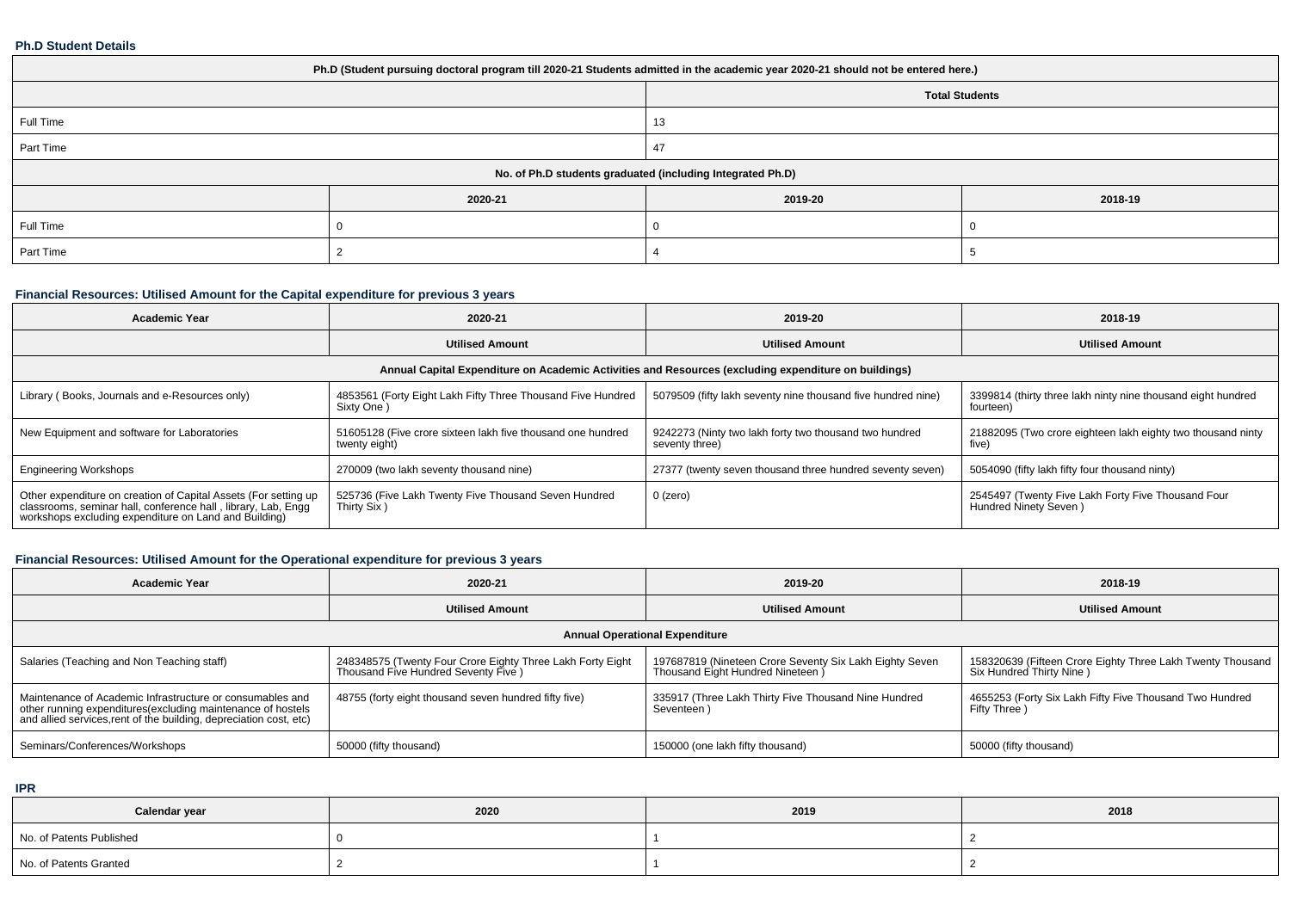#### **Ph.D Student Details**

| Ph.D (Student pursuing doctoral program till 2020-21 Students admitted in the academic year 2020-21 should not be entered here.) |         |         |         |  |  |  |  |
|----------------------------------------------------------------------------------------------------------------------------------|---------|---------|---------|--|--|--|--|
| <b>Total Students</b>                                                                                                            |         |         |         |  |  |  |  |
| Full Time                                                                                                                        |         | 13      |         |  |  |  |  |
| Part Time                                                                                                                        |         | 47      |         |  |  |  |  |
| No. of Ph.D students graduated (including Integrated Ph.D)                                                                       |         |         |         |  |  |  |  |
|                                                                                                                                  | 2020-21 | 2019-20 | 2018-19 |  |  |  |  |
| Full Time                                                                                                                        |         |         |         |  |  |  |  |
| Part Time                                                                                                                        |         |         |         |  |  |  |  |

# **Financial Resources: Utilised Amount for the Capital expenditure for previous 3 years**

| <b>Academic Year</b>                                                                                                                                                                   | 2020-21                                                                      | 2019-20                                                                  | 2018-19                                                                                   |  |  |  |  |  |  |
|----------------------------------------------------------------------------------------------------------------------------------------------------------------------------------------|------------------------------------------------------------------------------|--------------------------------------------------------------------------|-------------------------------------------------------------------------------------------|--|--|--|--|--|--|
|                                                                                                                                                                                        | <b>Utilised Amount</b>                                                       | <b>Utilised Amount</b>                                                   |                                                                                           |  |  |  |  |  |  |
| Annual Capital Expenditure on Academic Activities and Resources (excluding expenditure on buildings)                                                                                   |                                                                              |                                                                          |                                                                                           |  |  |  |  |  |  |
| Library (Books, Journals and e-Resources only)                                                                                                                                         | 4853561 (Forty Eight Lakh Fifty Three Thousand Five Hundred<br>Sixty One     | 5079509 (fifty lakh seventy nine thousand five hundred nine)             | 3399814 (thirty three lakh ninty nine thousand eight hundred<br>fourteen)                 |  |  |  |  |  |  |
| New Equipment and software for Laboratories                                                                                                                                            | 51605128 (Five crore sixteen lakh five thousand one hundred<br>twenty eight) | 9242273 (Ninty two lakh forty two thousand two hundred<br>seventy three) | 21882095 (Two crore eighteen lakh eighty two thousand ninty<br>five)                      |  |  |  |  |  |  |
| <b>Engineering Workshops</b>                                                                                                                                                           | 270009 (two lakh seventy thousand nine)                                      | 27377 (twenty seven thousand three hundred seventy seven)                | 5054090 (fifty lakh fifty four thousand ninty)                                            |  |  |  |  |  |  |
| Other expenditure on creation of Capital Assets (For setting up classrooms, seminar hall, conference hall, library, Lab, Engg<br>workshops excluding expenditure on Land and Building) | 525736 (Five Lakh Twenty Five Thousand Seven Hundred<br>Thirty Six)          | 0 (zero)                                                                 | <sup>1</sup> 2545497 (Twenty Five Lakh Forty Five Thousand Four<br>Hundred Ninety Seven ) |  |  |  |  |  |  |

## **Financial Resources: Utilised Amount for the Operational expenditure for previous 3 years**

| <b>Academic Year</b>                                                                                                                                                                            | 2020-21                                                                                            | 2019-20                                                                                      | 2018-19                                                                                |  |  |  |  |  |
|-------------------------------------------------------------------------------------------------------------------------------------------------------------------------------------------------|----------------------------------------------------------------------------------------------------|----------------------------------------------------------------------------------------------|----------------------------------------------------------------------------------------|--|--|--|--|--|
|                                                                                                                                                                                                 | <b>Utilised Amount</b>                                                                             | <b>Utilised Amount</b>                                                                       | <b>Utilised Amount</b>                                                                 |  |  |  |  |  |
| <b>Annual Operational Expenditure</b>                                                                                                                                                           |                                                                                                    |                                                                                              |                                                                                        |  |  |  |  |  |
| Salaries (Teaching and Non Teaching staff)                                                                                                                                                      | 248348575 (Twenty Four Crore Eighty Three Lakh Forty Eight<br>Thousand Five Hundred Seventy Five ) | 197687819 (Nineteen Crore Seventy Six Lakh Eighty Seven<br>Thousand Eight Hundred Nineteen ) | 158320639 (Fifteen Crore Eighty Three Lakh Twenty Thousand<br>Six Hundred Thirty Nine) |  |  |  |  |  |
| Maintenance of Academic Infrastructure or consumables and<br>other running expenditures (excluding maintenance of hostels<br>and allied services, rent of the building, depreciation cost, etc) | 48755 (forty eight thousand seven hundred fifty five)                                              | 335917 (Three Lakh Thirty Five Thousand Nine Hundred<br>Seventeen)                           | 4655253 (Forty Six Lakh Fifty Five Thousand Two Hundred<br>Fifty Three )               |  |  |  |  |  |
| Seminars/Conferences/Workshops                                                                                                                                                                  | 50000 (fifty thousand)                                                                             | 150000 (one lakh fifty thousand)                                                             | 50000 (fifty thousand)                                                                 |  |  |  |  |  |

**IPR**

| Calendar year            | 2020 | 2019 | 2018 |
|--------------------------|------|------|------|
| No. of Patents Published |      |      |      |
| No. of Patents Granted   |      |      |      |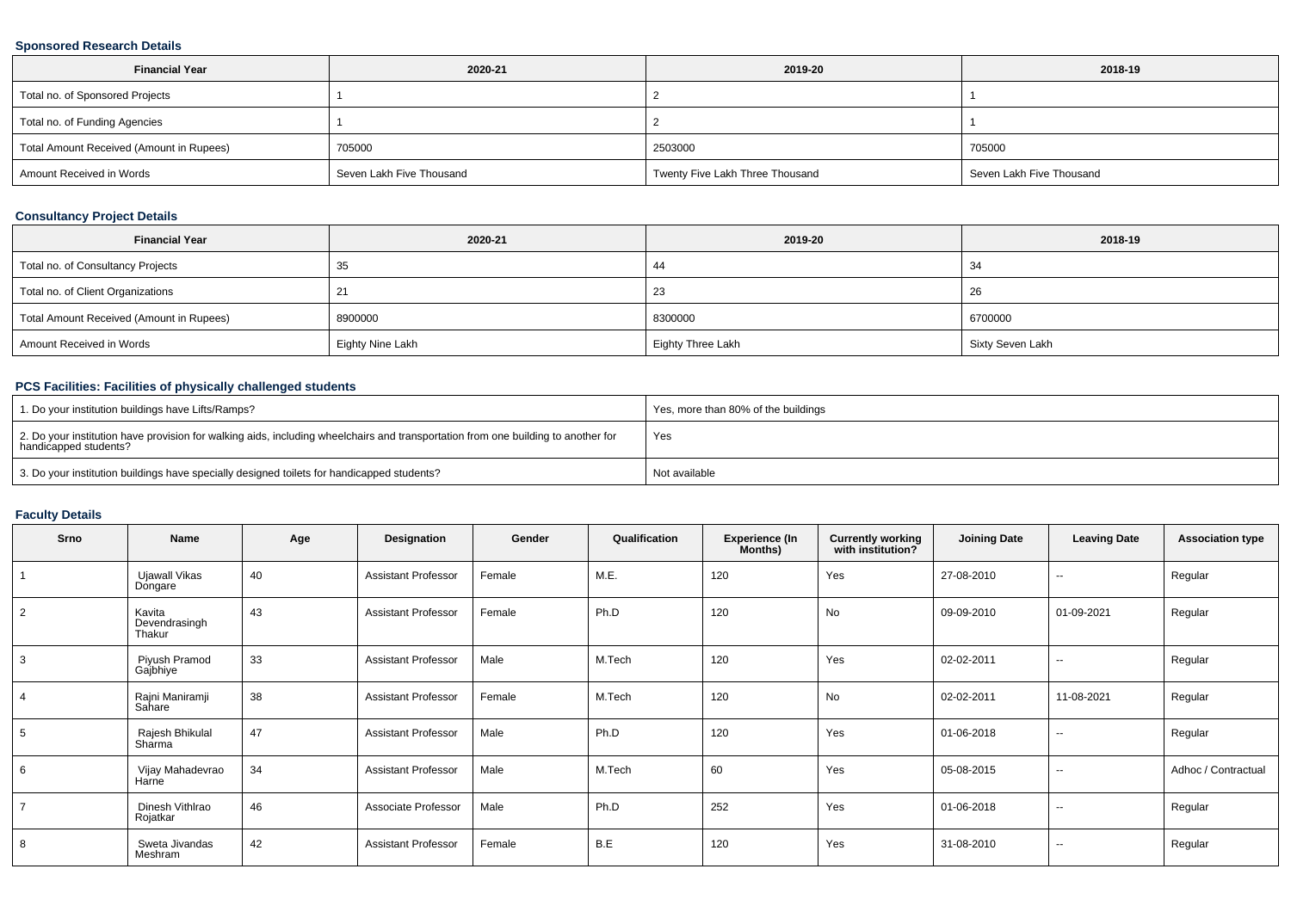### **Sponsored Research Details**

| <b>Financial Year</b>                    | 2020-21                  | 2019-20                         | 2018-19                  |
|------------------------------------------|--------------------------|---------------------------------|--------------------------|
| Total no. of Sponsored Projects          |                          |                                 |                          |
| Total no. of Funding Agencies            |                          |                                 |                          |
| Total Amount Received (Amount in Rupees) | 705000                   | 2503000                         | 705000                   |
| Amount Received in Words                 | Seven Lakh Five Thousand | Twenty Five Lakh Three Thousand | Seven Lakh Five Thousand |

### **Consultancy Project Details**

| <b>Financial Year</b>                    | 2020-21          | 2019-20           | 2018-19          |
|------------------------------------------|------------------|-------------------|------------------|
| Total no. of Consultancy Projects        | 35               | 44                | 34               |
| Total no. of Client Organizations        |                  | 23                | 26               |
| Total Amount Received (Amount in Rupees) | 8900000          | 8300000           | 6700000          |
| Amount Received in Words                 | Eighty Nine Lakh | Eighty Three Lakh | Sixty Seven Lakh |

### **PCS Facilities: Facilities of physically challenged students**

| 1. Do your institution buildings have Lifts/Ramps?                                                                                                         | Yes, more than 80% of the buildings |
|------------------------------------------------------------------------------------------------------------------------------------------------------------|-------------------------------------|
| 2. Do your institution have provision for walking aids, including wheelchairs and transportation from one building to another for<br>handicapped students? | Yes                                 |
| 3. Do your institution buildings have specially designed toilets for handicapped students?                                                                 | Not available                       |

### **Faculty Details**

| Srno            | Name                              | Age | Designation                | Gender | Qualification | <b>Experience (In</b><br>Months) | <b>Currently working</b><br>with institution? | <b>Joining Date</b> | <b>Leaving Date</b>      | <b>Association type</b> |
|-----------------|-----------------------------------|-----|----------------------------|--------|---------------|----------------------------------|-----------------------------------------------|---------------------|--------------------------|-------------------------|
|                 | Ujawall Vikas<br>Dongare          | 40  | <b>Assistant Professor</b> | Female | M.E.          | 120                              | Yes                                           | 27-08-2010          | $\sim$                   | Regular                 |
| 2               | Kavita<br>Devendrasingh<br>Thakur | 43  | <b>Assistant Professor</b> | Female | Ph.D          | 120                              | No                                            | 09-09-2010          | 01-09-2021               | Regular                 |
| 3               | Piyush Pramod<br>Gajbhiye         | 33  | <b>Assistant Professor</b> | Male   | M.Tech        | 120                              | Yes                                           | 02-02-2011          | $\overline{\phantom{a}}$ | Regular                 |
| $\overline{4}$  | Rajni Maniramji<br>Sahare         | 38  | <b>Assistant Professor</b> | Female | M.Tech        | 120                              | No                                            | 02-02-2011          | 11-08-2021               | Regular                 |
| $5\overline{)}$ | Rajesh Bhikulal<br>Sharma         | 47  | <b>Assistant Professor</b> | Male   | Ph.D          | 120                              | Yes                                           | 01-06-2018          | $\overline{\phantom{a}}$ | Regular                 |
| 6               | Vijay Mahadevrao<br>Harne         | 34  | <b>Assistant Professor</b> | Male   | M.Tech        | 60                               | Yes                                           | 05-08-2015          | $\overline{\phantom{a}}$ | Adhoc / Contractual     |
| $\overline{7}$  | Dinesh Vithlrao<br>Rojatkar       | 46  | Associate Professor        | Male   | Ph.D          | 252                              | Yes                                           | 01-06-2018          | $\overline{\phantom{a}}$ | Regular                 |
| 8               | Sweta Jivandas<br>Meshram         | 42  | <b>Assistant Professor</b> | Female | B.E           | 120                              | Yes                                           | 31-08-2010          | $\overline{\phantom{a}}$ | Regular                 |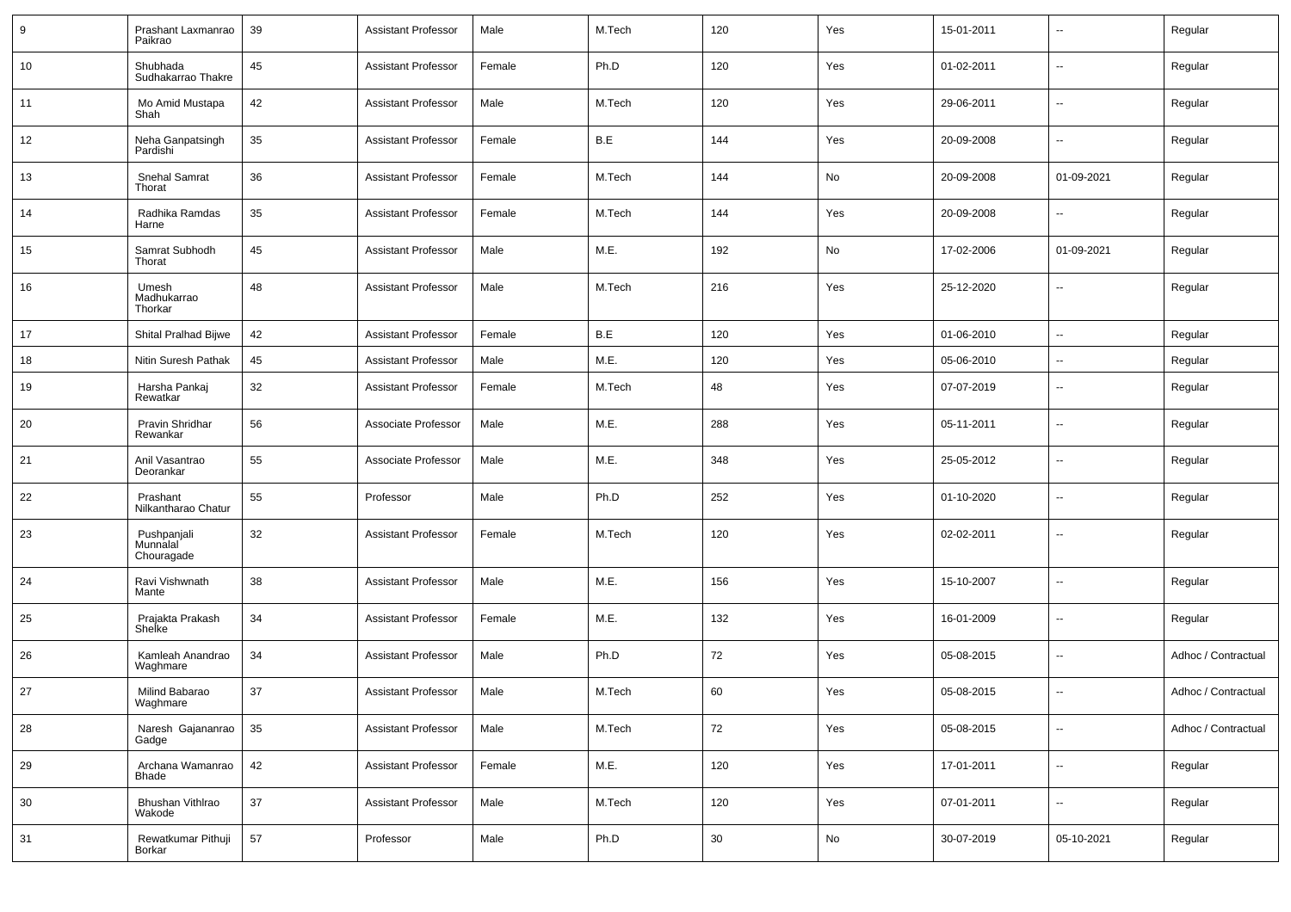| 9  | Prashant Laxmanrao<br>Paikrao         | 39 | <b>Assistant Professor</b> | Male   | M.Tech | 120 | Yes | 15-01-2011 | $\overline{\phantom{a}}$ | Regular             |
|----|---------------------------------------|----|----------------------------|--------|--------|-----|-----|------------|--------------------------|---------------------|
| 10 | Shubhada<br>Sudhakarrao Thakre        | 45 | <b>Assistant Professor</b> | Female | Ph.D   | 120 | Yes | 01-02-2011 | ⊷.                       | Regular             |
| 11 | Mo Amid Mustapa<br>Shah               | 42 | <b>Assistant Professor</b> | Male   | M.Tech | 120 | Yes | 29-06-2011 | ⊷.                       | Regular             |
| 12 | Neha Ganpatsingh<br>Pardishi          | 35 | <b>Assistant Professor</b> | Female | B.E    | 144 | Yes | 20-09-2008 | ⊷.                       | Regular             |
| 13 | Snehal Samrat<br>Thorat               | 36 | <b>Assistant Professor</b> | Female | M.Tech | 144 | No  | 20-09-2008 | 01-09-2021               | Regular             |
| 14 | Radhika Ramdas<br>Harne               | 35 | <b>Assistant Professor</b> | Female | M.Tech | 144 | Yes | 20-09-2008 | ⊶.                       | Regular             |
| 15 | Samrat Subhodh<br>Thorat              | 45 | <b>Assistant Professor</b> | Male   | M.E.   | 192 | No  | 17-02-2006 | 01-09-2021               | Regular             |
| 16 | Umesh<br>Madhukarrao<br>Thorkar       | 48 | <b>Assistant Professor</b> | Male   | M.Tech | 216 | Yes | 25-12-2020 | Ξ.                       | Regular             |
| 17 | Shital Pralhad Bijwe                  | 42 | <b>Assistant Professor</b> | Female | B.E    | 120 | Yes | 01-06-2010 | $\overline{\phantom{a}}$ | Regular             |
| 18 | Nitin Suresh Pathak                   | 45 | <b>Assistant Professor</b> | Male   | M.E.   | 120 | Yes | 05-06-2010 | ⊶.                       | Regular             |
| 19 | Harsha Pankaj<br>Rewatkar             | 32 | <b>Assistant Professor</b> | Female | M.Tech | 48  | Yes | 07-07-2019 | $\overline{\phantom{a}}$ | Regular             |
| 20 | Pravin Shridhar<br>Rewankar           | 56 | Associate Professor        | Male   | M.E.   | 288 | Yes | 05-11-2011 | $\overline{\phantom{a}}$ | Regular             |
| 21 | Anil Vasantrao<br>Deorankar           | 55 | Associate Professor        | Male   | M.E.   | 348 | Yes | 25-05-2012 | $\overline{\phantom{a}}$ | Regular             |
| 22 | Prashant<br>Nilkantharao Chatur       | 55 | Professor                  | Male   | Ph.D   | 252 | Yes | 01-10-2020 | ⊷.                       | Regular             |
| 23 | Pushpanjali<br>Munnalal<br>Chouragade | 32 | <b>Assistant Professor</b> | Female | M.Tech | 120 | Yes | 02-02-2011 | $\overline{\phantom{a}}$ | Regular             |
| 24 | Ravi Vishwnath<br>Mante               | 38 | <b>Assistant Professor</b> | Male   | M.E.   | 156 | Yes | 15-10-2007 | ⊷.                       | Regular             |
| 25 | Prajakta Prakash<br>Shelke            | 34 | <b>Assistant Professor</b> | Female | M.E.   | 132 | Yes | 16-01-2009 | −−                       | Regular             |
| 26 | Kamleah Anandrao<br>Waghmare          | 34 | <b>Assistant Professor</b> | Male   | Ph.D   | 72  | Yes | 05-08-2015 | ⊷.                       | Adhoc / Contractual |
| 27 | Milind Babarao<br>Waghmare            | 37 | <b>Assistant Professor</b> | Male   | M.Tech | 60  | Yes | 05-08-2015 | Ξ.                       | Adhoc / Contractual |
| 28 | Naresh Gajananrao<br>Gadge            | 35 | <b>Assistant Professor</b> | Male   | M.Tech | 72  | Yes | 05-08-2015 | $\overline{\phantom{a}}$ | Adhoc / Contractual |
| 29 | Archana Wamanrao<br><b>Bhade</b>      | 42 | <b>Assistant Professor</b> | Female | M.E.   | 120 | Yes | 17-01-2011 | $\overline{\phantom{a}}$ | Regular             |
| 30 | Bhushan Vithlrao<br>Wakode            | 37 | <b>Assistant Professor</b> | Male   | M.Tech | 120 | Yes | 07-01-2011 | н,                       | Regular             |
| 31 | Rewatkumar Pithuji<br>Borkar          | 57 | Professor                  | Male   | Ph.D   | 30  | No  | 30-07-2019 | 05-10-2021               | Regular             |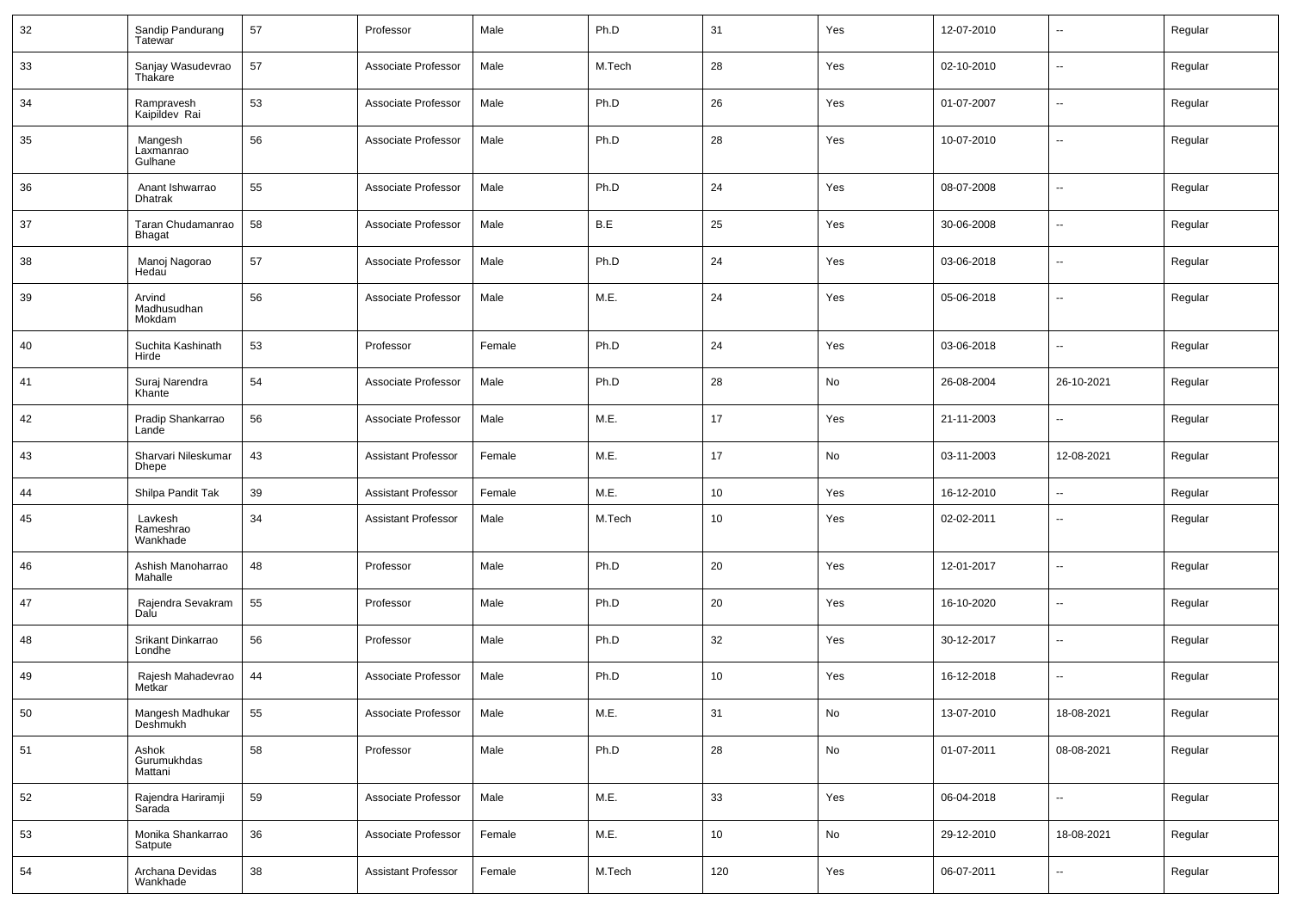| 32 | Sandip Pandurang<br>Tatewar         | 57 | Professor                  | Male   | Ph.D   | 31              | Yes                          | 12-07-2010 | $\sim$                   | Regular |
|----|-------------------------------------|----|----------------------------|--------|--------|-----------------|------------------------------|------------|--------------------------|---------|
| 33 | Sanjay Wasudevrao<br>Thakare        | 57 | Associate Professor        | Male   | M.Tech | 28              | Yes                          | 02-10-2010 | $\sim$                   | Regular |
| 34 | Rampravesh<br>Kaipildev Rai         | 53 | Associate Professor        | Male   | Ph.D   | 26              | Yes                          | 01-07-2007 | $\sim$                   | Regular |
| 35 | Mangesh<br>Laxmanrao<br>Gulhane     | 56 | Associate Professor        | Male   | Ph.D   | 28              | Yes                          | 10-07-2010 | $\sim$                   | Regular |
| 36 | Anant Ishwarrao<br>Dhatrak          | 55 | Associate Professor        | Male   | Ph.D   | 24              | Yes                          | 08-07-2008 | $\sim$                   | Regular |
| 37 | Taran Chudamanrao<br><b>Bhagat</b>  | 58 | Associate Professor        | Male   | B.E    | 25              | Yes                          | 30-06-2008 | $\overline{\phantom{a}}$ | Regular |
| 38 | Manoj Nagorao<br>Hedau              | 57 | Associate Professor        | Male   | Ph.D   | 24              | Yes                          | 03-06-2018 | $\sim$                   | Regular |
| 39 | Arvind<br>Madhusudhan<br>Mokdam     | 56 | Associate Professor        | Male   | M.E.   | 24              | Yes                          | 05-06-2018 | $\overline{\phantom{a}}$ | Regular |
| 40 | Suchita Kashinath<br>Hirde          | 53 | Professor                  | Female | Ph.D   | 24              | Yes                          | 03-06-2018 | $\overline{\phantom{a}}$ | Regular |
| 41 | Suraj Narendra<br>Khante            | 54 | Associate Professor        | Male   | Ph.D   | 28              | No                           | 26-08-2004 | 26-10-2021               | Regular |
| 42 | Pradip Shankarrao<br>Lande          | 56 | Associate Professor        | Male   | M.E.   | 17              | Yes                          | 21-11-2003 | $\overline{\phantom{a}}$ | Regular |
| 43 | Sharvari Nileskumar<br><b>Dhepe</b> | 43 | <b>Assistant Professor</b> | Female | M.E.   | 17              | No                           | 03-11-2003 | 12-08-2021               | Regular |
| 44 | Shilpa Pandit Tak                   | 39 | <b>Assistant Professor</b> | Female | M.E.   | 10              | Yes                          | 16-12-2010 | $\overline{\phantom{a}}$ | Regular |
| 45 | Lavkesh<br>Rameshrao<br>Wankhade    | 34 | <b>Assistant Professor</b> | Male   | M.Tech | 10              | Yes                          | 02-02-2011 | $\sim$                   | Regular |
| 46 | Ashish Manoharrao<br>Mahalle        | 48 | Professor                  | Male   | Ph.D   | 20              | Yes                          | 12-01-2017 | $\overline{\phantom{a}}$ | Regular |
| 47 | Rajendra Sevakram<br>Dalu           | 55 | Professor                  | Male   | Ph.D   | 20              | Yes                          | 16-10-2020 | $\sim$                   | Regular |
| 48 | Srikant Dinkarrao<br>Londhe         | 56 | Professor                  | Male   | Ph.D   | 32              | Yes                          | 30-12-2017 | $\sim$                   | Regular |
| 49 | Rajesh Mahadevrao<br>Metkar         | 44 | Associate Professor        | Male   | Ph.D   | 10              | Yes                          | 16-12-2018 | $\sim$                   | Regular |
| 50 | Mangesh Madhukar<br>Deshmukh        | 55 | Associate Professor        | Male   | M.E.   | 31              | $\operatorname{\mathsf{No}}$ | 13-07-2010 | 18-08-2021               | Regular |
| 51 | Ashok<br>Gurumukhdas<br>Mattani     | 58 | Professor                  | Male   | Ph.D   | 28              | No                           | 01-07-2011 | 08-08-2021               | Regular |
| 52 | Rajendra Hariramji<br>Sarada        | 59 | Associate Professor        | Male   | M.E.   | 33              | Yes                          | 06-04-2018 | $\sim$                   | Regular |
| 53 | Monika Shankarrao<br>Satpute        | 36 | Associate Professor        | Female | M.E.   | 10 <sup>°</sup> | No                           | 29-12-2010 | 18-08-2021               | Regular |
| 54 | Archana Devidas<br>Wankhade         | 38 | <b>Assistant Professor</b> | Female | M.Tech | 120             | Yes                          | 06-07-2011 | $\sim$                   | Regular |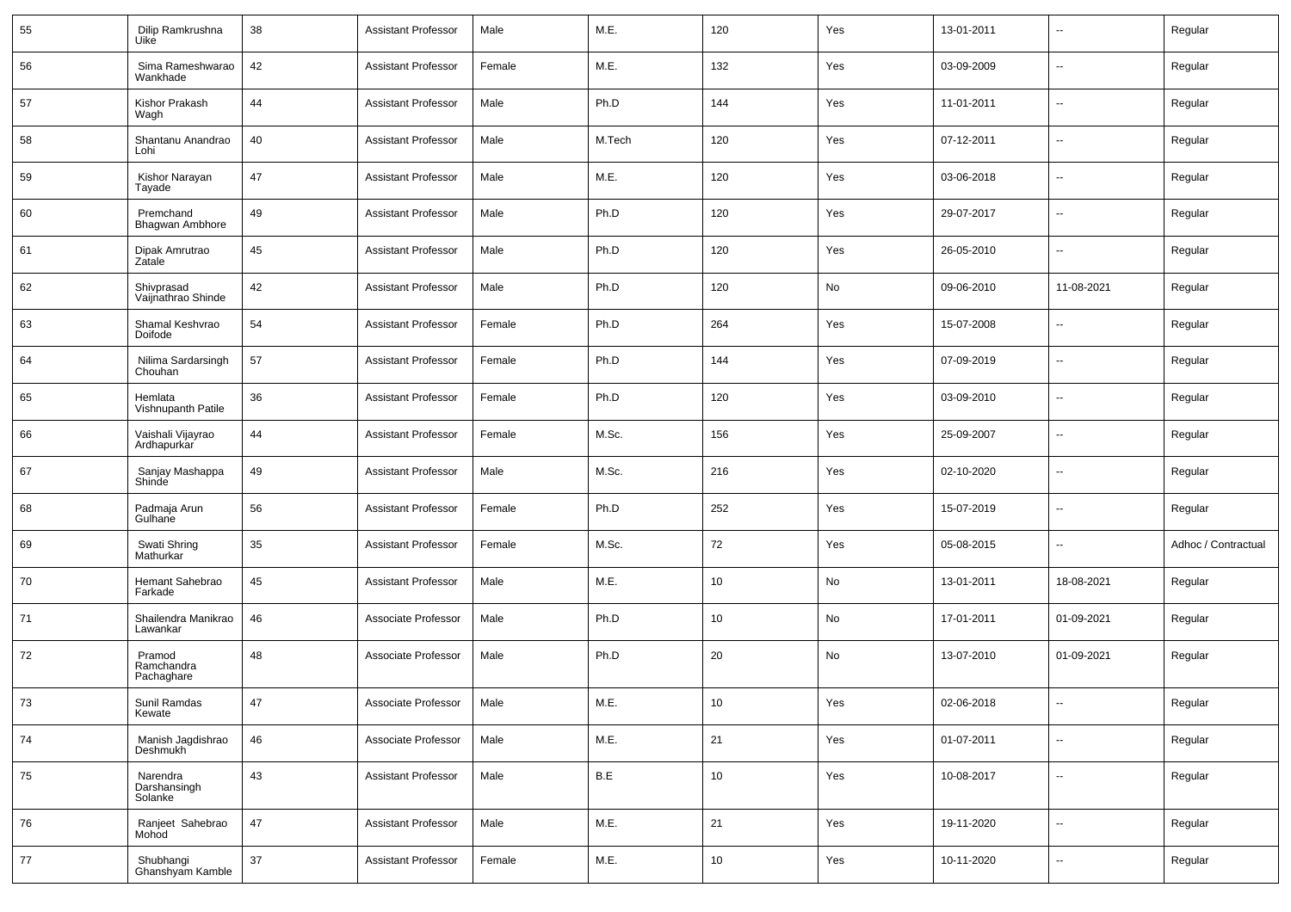| 55 | Dilip Ramkrushna<br>Uike            | 38     | <b>Assistant Professor</b> | Male   | M.E.   | 120 | Yes | 13-01-2011 |                          | Regular             |
|----|-------------------------------------|--------|----------------------------|--------|--------|-----|-----|------------|--------------------------|---------------------|
| 56 | Sima Rameshwarao<br>Wankhade        | 42     | <b>Assistant Professor</b> | Female | M.E.   | 132 | Yes | 03-09-2009 | $\sim$                   | Regular             |
| 57 | Kishor Prakash<br>Wagh              | 44     | <b>Assistant Professor</b> | Male   | Ph.D   | 144 | Yes | 11-01-2011 | $\sim$                   | Regular             |
| 58 | Shantanu Anandrao<br>Lohi           | 40     | <b>Assistant Professor</b> | Male   | M.Tech | 120 | Yes | 07-12-2011 | $\sim$                   | Regular             |
| 59 | Kishor Narayan<br>Tayade            | 47     | <b>Assistant Professor</b> | Male   | M.E.   | 120 | Yes | 03-06-2018 | $\sim$                   | Regular             |
| 60 | Premchand<br>Bhagwan Ambhore        | 49     | <b>Assistant Professor</b> | Male   | Ph.D   | 120 | Yes | 29-07-2017 | $\sim$                   | Regular             |
| 61 | Dipak Amrutrao<br>Zatale            | 45     | <b>Assistant Professor</b> | Male   | Ph.D   | 120 | Yes | 26-05-2010 | $\sim$                   | Regular             |
| 62 | Shivprasad<br>Vaijnathrao Shinde    | 42     | <b>Assistant Professor</b> | Male   | Ph.D   | 120 | No  | 09-06-2010 | 11-08-2021               | Regular             |
| 63 | Shamal Keshvrao<br>Doifode          | 54     | <b>Assistant Professor</b> | Female | Ph.D   | 264 | Yes | 15-07-2008 | $\overline{\phantom{a}}$ | Regular             |
| 64 | Nilima Sardarsingh<br>Chouhan       | 57     | <b>Assistant Professor</b> | Female | Ph.D   | 144 | Yes | 07-09-2019 | $\sim$                   | Regular             |
| 65 | Hemlata<br>Vishnupanth Patile       | 36     | <b>Assistant Professor</b> | Female | Ph.D   | 120 | Yes | 03-09-2010 | $\sim$                   | Regular             |
| 66 | Vaishali Vijayrao<br>Ardhapurkar    | 44     | <b>Assistant Professor</b> | Female | M.Sc.  | 156 | Yes | 25-09-2007 | $\sim$                   | Regular             |
| 67 | Sanjay Mashappa<br>Shinde           | 49     | <b>Assistant Professor</b> | Male   | M.Sc.  | 216 | Yes | 02-10-2020 | $\sim$                   | Regular             |
| 68 | Padmaja Arun<br>Gulhane             | 56     | <b>Assistant Professor</b> | Female | Ph.D   | 252 | Yes | 15-07-2019 | $\sim$                   | Regular             |
| 69 | Swati Shring<br>Mathurkar           | 35     | <b>Assistant Professor</b> | Female | M.Sc.  | 72  | Yes | 05-08-2015 | Ξ.                       | Adhoc / Contractual |
| 70 | Hemant Sahebrao<br>Farkade          | 45     | <b>Assistant Professor</b> | Male   | M.E.   | 10  | No  | 13-01-2011 | 18-08-2021               | Regular             |
| 71 | Shailendra Manikrao<br>Lawankar     | 46     | Associate Professor        | Male   | Ph.D   | 10  | No  | 17-01-2011 | 01-09-2021               | Regular             |
| 72 | Pramod<br>Ramchandra<br>Pachaghare  | 48     | Associate Professor        | Male   | Ph.D   | 20  | No  | 13-07-2010 | 01-09-2021               | Regular             |
| 73 | Sunil Ramdas<br>Kewate              | 47     | Associate Professor        | Male   | M.E.   | 10  | Yes | 02-06-2018 |                          | Regular             |
| 74 | Manish Jagdishrao<br>Deshmukh       | 46     | Associate Professor        | Male   | M.E.   | 21  | Yes | 01-07-2011 | $\sim$                   | Regular             |
| 75 | Narendra<br>Darshansingh<br>Solanke | 43     | <b>Assistant Professor</b> | Male   | B.E    | 10  | Yes | 10-08-2017 | $\sim$                   | Regular             |
| 76 | Ranjeet Sahebrao<br>Mohod           | $47\,$ | <b>Assistant Professor</b> | Male   | M.E.   | 21  | Yes | 19-11-2020 | $\overline{\phantom{a}}$ | Regular             |
| 77 | Shubhangi<br>Ghanshyam Kamble       | $37\,$ | <b>Assistant Professor</b> | Female | M.E.   | 10  | Yes | 10-11-2020 | $\sim$                   | Regular             |